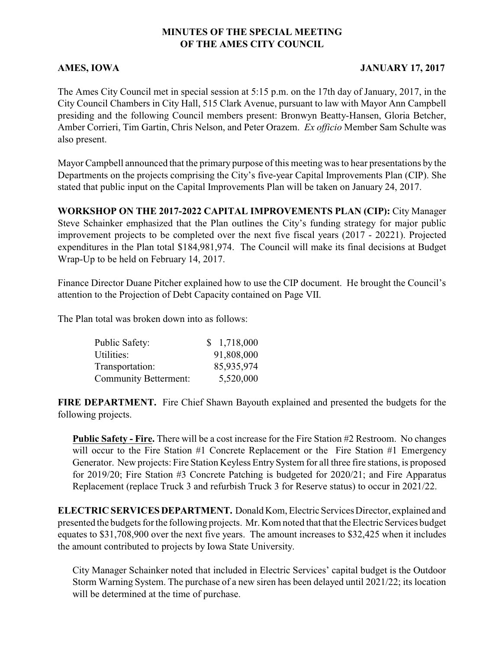## **MINUTES OF THE SPECIAL MEETING OF THE AMES CITY COUNCIL**

## **AMES, IOWA** JANUARY 17, 2017

The Ames City Council met in special session at 5:15 p.m. on the 17th day of January, 2017, in the City Council Chambers in City Hall, 515 Clark Avenue, pursuant to law with Mayor Ann Campbell presiding and the following Council members present: Bronwyn Beatty-Hansen, Gloria Betcher, Amber Corrieri, Tim Gartin, Chris Nelson, and Peter Orazem. *Ex officio* Member Sam Schulte was also present.

Mayor Campbell announced that the primary purpose of this meeting was to hear presentations by the Departments on the projects comprising the City's five-year Capital Improvements Plan (CIP). She stated that public input on the Capital Improvements Plan will be taken on January 24, 2017.

**WORKSHOP ON THE 2017-2022 CAPITAL IMPROVEMENTS PLAN (CIP):** City Manager Steve Schainker emphasized that the Plan outlines the City's funding strategy for major public improvement projects to be completed over the next five fiscal years (2017 - 20221). Projected expenditures in the Plan total \$184,981,974. The Council will make its final decisions at Budget Wrap-Up to be held on February 14, 2017.

Finance Director Duane Pitcher explained how to use the CIP document. He brought the Council's attention to the Projection of Debt Capacity contained on Page VII.

The Plan total was broken down into as follows:

| Public Safety:               | \$1,718,000 |
|------------------------------|-------------|
| Utilities:                   | 91,808,000  |
| Transportation:              | 85,935,974  |
| <b>Community Betterment:</b> | 5,520,000   |

**FIRE DEPARTMENT.** Fire Chief Shawn Bayouth explained and presented the budgets for the following projects.

**Public Safety - Fire.** There will be a cost increase for the Fire Station #2 Restroom. No changes will occur to the Fire Station #1 Concrete Replacement or the Fire Station #1 Emergency Generator. New projects: Fire Station Keyless EntrySystem for all three fire stations, is proposed for 2019/20; Fire Station #3 Concrete Patching is budgeted for 2020/21; and Fire Apparatus Replacement (replace Truck 3 and refurbish Truck 3 for Reserve status) to occur in 2021/22.

**ELECTRIC SERVICESDEPARTMENT.** Donald Kom, Electric Services Director, explained and presented the budgets for the following projects. Mr. Kom noted that that the Electric Services budget equates to \$31,708,900 over the next five years. The amount increases to \$32,425 when it includes the amount contributed to projects by Iowa State University.

City Manager Schainker noted that included in Electric Services' capital budget is the Outdoor Storm Warning System. The purchase of a new siren has been delayed until 2021/22; its location will be determined at the time of purchase.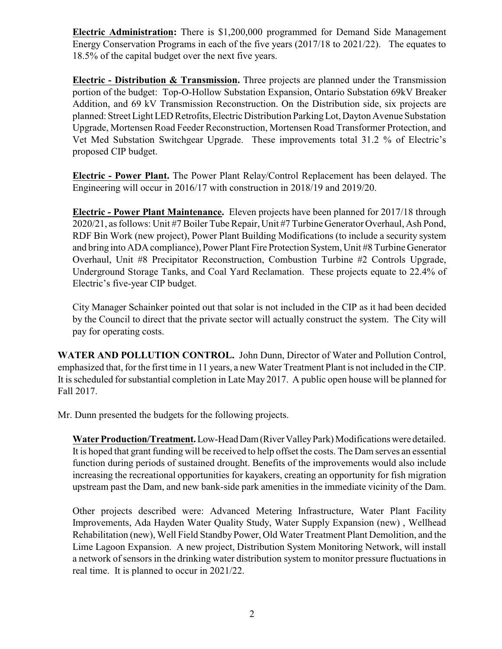**Electric Administration:** There is \$1,200,000 programmed for Demand Side Management Energy Conservation Programs in each of the five years (2017/18 to 2021/22). The equates to 18.5% of the capital budget over the next five years.

**Electric - Distribution & Transmission.** Three projects are planned under the Transmission portion of the budget: Top-O-Hollow Substation Expansion, Ontario Substation 69kV Breaker Addition, and 69 kV Transmission Reconstruction. On the Distribution side, six projects are planned: Street Light LED Retrofits, Electric Distribution Parking Lot, Dayton Avenue Substation Upgrade, Mortensen Road Feeder Reconstruction, Mortensen Road Transformer Protection, and Vet Med Substation Switchgear Upgrade. These improvements total 31.2 % of Electric's proposed CIP budget.

**Electric - Power Plant.** The Power Plant Relay/Control Replacement has been delayed. The Engineering will occur in 2016/17 with construction in 2018/19 and 2019/20.

**Electric - Power Plant Maintenance.** Eleven projects have been planned for 2017/18 through 2020/21, as follows: Unit #7 Boiler Tube Repair, Unit #7 Turbine Generator Overhaul, Ash Pond, RDF Bin Work (new project), Power Plant Building Modifications (to include a security system and bring into ADA compliance), Power Plant Fire Protection System, Unit #8 Turbine Generator Overhaul, Unit #8 Precipitator Reconstruction, Combustion Turbine #2 Controls Upgrade, Underground Storage Tanks, and Coal Yard Reclamation. These projects equate to 22.4% of Electric's five-year CIP budget.

City Manager Schainker pointed out that solar is not included in the CIP as it had been decided by the Council to direct that the private sector will actually construct the system. The City will pay for operating costs.

**WATER AND POLLUTION CONTROL.** John Dunn, Director of Water and Pollution Control, emphasized that, for the first time in 11 years, a new Water Treatment Plant is not included in the CIP. It is scheduled for substantial completion in Late May 2017. A public open house will be planned for Fall 2017.

Mr. Dunn presented the budgets for the following projects.

**WaterProduction/Treatment.**Low-HeadDam(RiverValleyPark) Modifications were detailed. It is hoped that grant funding will be received to help offset the costs. The Dam serves an essential function during periods of sustained drought. Benefits of the improvements would also include increasing the recreational opportunities for kayakers, creating an opportunity for fish migration upstream past the Dam, and new bank-side park amenities in the immediate vicinity of the Dam.

Other projects described were: Advanced Metering Infrastructure, Water Plant Facility Improvements, Ada Hayden Water Quality Study, Water Supply Expansion (new) , Wellhead Rehabilitation (new), Well Field StandbyPower, Old Water Treatment Plant Demolition, and the Lime Lagoon Expansion. A new project, Distribution System Monitoring Network, will install a network of sensors in the drinking water distribution system to monitor pressure fluctuations in real time. It is planned to occur in 2021/22.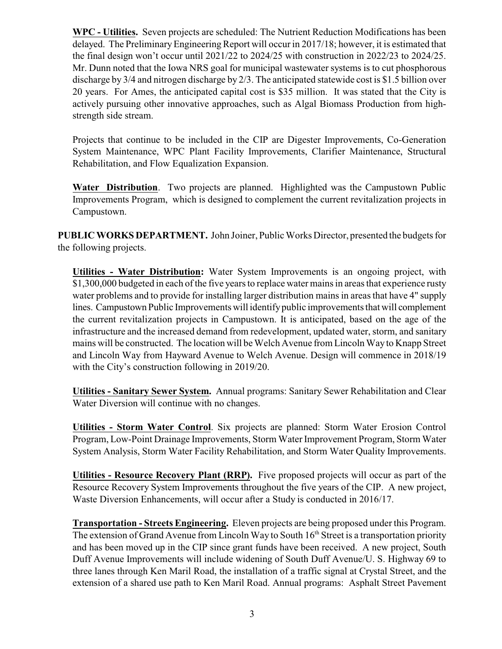**WPC - Utilities.** Seven projects are scheduled: The Nutrient Reduction Modifications has been delayed. The Preliminary Engineering Report will occur in 2017/18; however, it is estimated that the final design won't occur until 2021/22 to 2024/25 with construction in 2022/23 to 2024/25. Mr. Dunn noted that the Iowa NRS goal for municipal wastewater systems is to cut phosphorous discharge by 3/4 and nitrogen discharge by 2/3. The anticipated statewide cost is \$1.5 billion over 20 years. For Ames, the anticipated capital cost is \$35 million. It was stated that the City is actively pursuing other innovative approaches, such as Algal Biomass Production from highstrength side stream.

Projects that continue to be included in the CIP are Digester Improvements, Co-Generation System Maintenance, WPC Plant Facility Improvements, Clarifier Maintenance, Structural Rehabilitation, and Flow Equalization Expansion.

**Water Distribution**. Two projects are planned. Highlighted was the Campustown Public Improvements Program, which is designed to complement the current revitalization projects in Campustown.

**PUBLICWORKS DEPARTMENT.** John Joiner, Public Works Director, presented the budgets for the following projects.

**Utilities - Water Distribution:** Water System Improvements is an ongoing project, with \$1,300,000 budgeted in each of the five years to replace water mains in areas that experience rusty water problems and to provide for installing larger distribution mains in areas that have 4" supply lines. Campustown Public Improvements will identifypublic improvements that will complement the current revitalization projects in Campustown. It is anticipated, based on the age of the infrastructure and the increased demand from redevelopment, updated water, storm, and sanitary mains will be constructed. The location will be Welch Avenue from Lincoln Way to Knapp Street and Lincoln Way from Hayward Avenue to Welch Avenue. Design will commence in 2018/19 with the City's construction following in 2019/20.

**Utilities - Sanitary Sewer System.** Annual programs: Sanitary Sewer Rehabilitation and Clear Water Diversion will continue with no changes.

**Utilities - Storm Water Control**. Six projects are planned: Storm Water Erosion Control Program, Low-Point Drainage Improvements, Storm Water Improvement Program, Storm Water System Analysis, Storm Water Facility Rehabilitation, and Storm Water Quality Improvements.

**Utilities - Resource Recovery Plant (RRP).** Five proposed projects will occur as part of the Resource Recovery System Improvements throughout the five years of the CIP. A new project, Waste Diversion Enhancements, will occur after a Study is conducted in 2016/17.

**Transportation - Streets Engineering.** Eleven projects are being proposed under this Program. The extension of Grand Avenue from Lincoln Way to South 16<sup>th</sup> Street is a transportation priority and has been moved up in the CIP since grant funds have been received. A new project, South Duff Avenue Improvements will include widening of South Duff Avenue/U. S. Highway 69 to three lanes through Ken Maril Road, the installation of a traffic signal at Crystal Street, and the extension of a shared use path to Ken Maril Road. Annual programs: Asphalt Street Pavement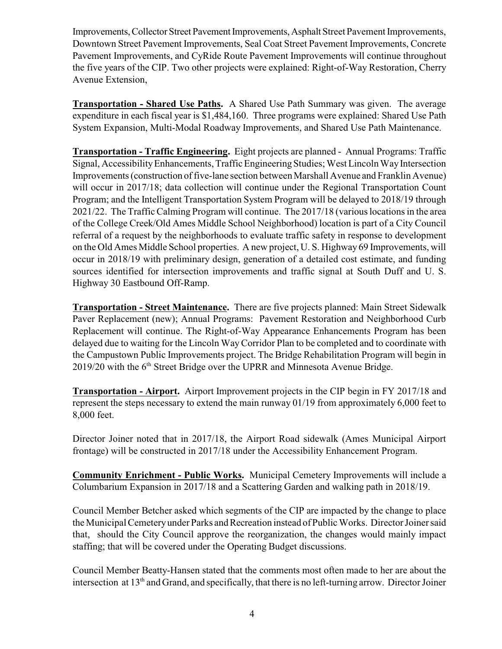Improvements, Collector Street Pavement Improvements, Asphalt Street Pavement Improvements, Downtown Street Pavement Improvements, Seal Coat Street Pavement Improvements, Concrete Pavement Improvements, and CyRide Route Pavement Improvements will continue throughout the five years of the CIP. Two other projects were explained: Right-of-Way Restoration, Cherry Avenue Extension,

**Transportation - Shared Use Paths.** A Shared Use Path Summary was given. The average expenditure in each fiscal year is \$1,484,160. Three programs were explained: Shared Use Path System Expansion, Multi-Modal Roadway Improvements, and Shared Use Path Maintenance.

**Transportation - Traffic Engineering.** Eight projects are planned - Annual Programs: Traffic Signal, AccessibilityEnhancements, Traffic EngineeringStudies; West Lincoln WayIntersection Improvements (construction of five-lane section between Marshall Avenue and Franklin Avenue) will occur in 2017/18; data collection will continue under the Regional Transportation Count Program; and the Intelligent Transportation System Program will be delayed to 2018/19 through 2021/22. The Traffic Calming Program will continue. The 2017/18 (various locationsin the area of the College Creek/Old Ames Middle School Neighborhood) location is part of a City Council referral of a request by the neighborhoods to evaluate traffic safety in response to development on the Old Ames Middle School properties. A new project, U. S. Highway 69 Improvements, will occur in 2018/19 with preliminary design, generation of a detailed cost estimate, and funding sources identified for intersection improvements and traffic signal at South Duff and U. S. Highway 30 Eastbound Off-Ramp.

**Transportation - Street Maintenance.** There are five projects planned: Main Street Sidewalk Paver Replacement (new); Annual Programs: Pavement Restoration and Neighborhood Curb Replacement will continue. The Right-of-Way Appearance Enhancements Program has been delayed due to waiting for the Lincoln WayCorridor Plan to be completed and to coordinate with the Campustown Public Improvements project. The Bridge Rehabilitation Program will begin in 2019/20 with the 6<sup>th</sup> Street Bridge over the UPRR and Minnesota Avenue Bridge.

**Transportation - Airport.** Airport Improvement projects in the CIP begin in FY 2017/18 and represent the steps necessary to extend the main runway 01/19 from approximately 6,000 feet to 8,000 feet.

Director Joiner noted that in 2017/18, the Airport Road sidewalk (Ames Municipal Airport frontage) will be constructed in 2017/18 under the Accessibility Enhancement Program.

**Community Enrichment - Public Works.** Municipal Cemetery Improvements will include a Columbarium Expansion in 2017/18 and a Scattering Garden and walking path in 2018/19.

Council Member Betcher asked which segments of the CIP are impacted by the change to place the Municipal Cemetery under Parks and Recreation instead of Public Works. Director Joiner said that, should the City Council approve the reorganization, the changes would mainly impact staffing; that will be covered under the Operating Budget discussions.

Council Member Beatty-Hansen stated that the comments most often made to her are about the intersection at 13<sup>th</sup> and Grand, and specifically, that there is no left-turning arrow. Director Joiner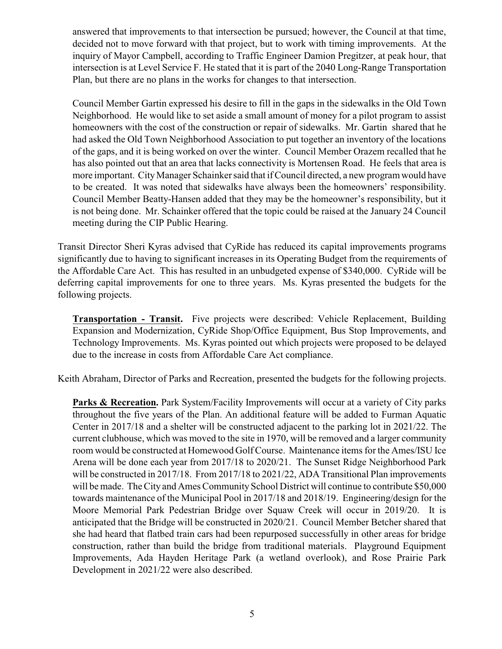answered that improvements to that intersection be pursued; however, the Council at that time, decided not to move forward with that project, but to work with timing improvements. At the inquiry of Mayor Campbell, according to Traffic Engineer Damion Pregitzer, at peak hour, that intersection is at Level Service F. He stated that it is part of the 2040 Long-Range Transportation Plan, but there are no plans in the works for changes to that intersection.

Council Member Gartin expressed his desire to fill in the gaps in the sidewalks in the Old Town Neighborhood. He would like to set aside a small amount of money for a pilot program to assist homeowners with the cost of the construction or repair of sidewalks. Mr. Gartin shared that he had asked the Old Town Neighborhood Association to put together an inventory of the locations of the gaps, and it is being worked on over the winter. Council Member Orazem recalled that he has also pointed out that an area that lacks connectivity is Mortensen Road. He feels that area is more important. CityManager Schainker said that if Council directed, a new program would have to be created. It was noted that sidewalks have always been the homeowners' responsibility. Council Member Beatty-Hansen added that they may be the homeowner's responsibility, but it is not being done. Mr. Schainker offered that the topic could be raised at the January 24 Council meeting during the CIP Public Hearing.

Transit Director Sheri Kyras advised that CyRide has reduced its capital improvements programs significantly due to having to significant increases in its Operating Budget from the requirements of the Affordable Care Act. This has resulted in an unbudgeted expense of \$340,000. CyRide will be deferring capital improvements for one to three years. Ms. Kyras presented the budgets for the following projects.

**Transportation - Transit.** Five projects were described: Vehicle Replacement, Building Expansion and Modernization, CyRide Shop/Office Equipment, Bus Stop Improvements, and Technology Improvements. Ms. Kyras pointed out which projects were proposed to be delayed due to the increase in costs from Affordable Care Act compliance.

Keith Abraham, Director of Parks and Recreation, presented the budgets for the following projects.

**Parks & Recreation.** Park System/Facility Improvements will occur at a variety of City parks throughout the five years of the Plan. An additional feature will be added to Furman Aquatic Center in 2017/18 and a shelter will be constructed adjacent to the parking lot in 2021/22. The current clubhouse, which was moved to the site in 1970, will be removed and a larger community room would be constructed at Homewood Golf Course. Maintenance items for the Ames/ISU Ice Arena will be done each year from 2017/18 to 2020/21. The Sunset Ridge Neighborhood Park will be constructed in 2017/18. From 2017/18 to 2021/22, ADA Transitional Plan improvements will be made. The City and Ames Community School District will continue to contribute \$50,000 towards maintenance of the Municipal Pool in 2017/18 and 2018/19. Engineering/design for the Moore Memorial Park Pedestrian Bridge over Squaw Creek will occur in 2019/20. It is anticipated that the Bridge will be constructed in 2020/21. Council Member Betcher shared that she had heard that flatbed train cars had been repurposed successfully in other areas for bridge construction, rather than build the bridge from traditional materials. Playground Equipment Improvements, Ada Hayden Heritage Park (a wetland overlook), and Rose Prairie Park Development in 2021/22 were also described.